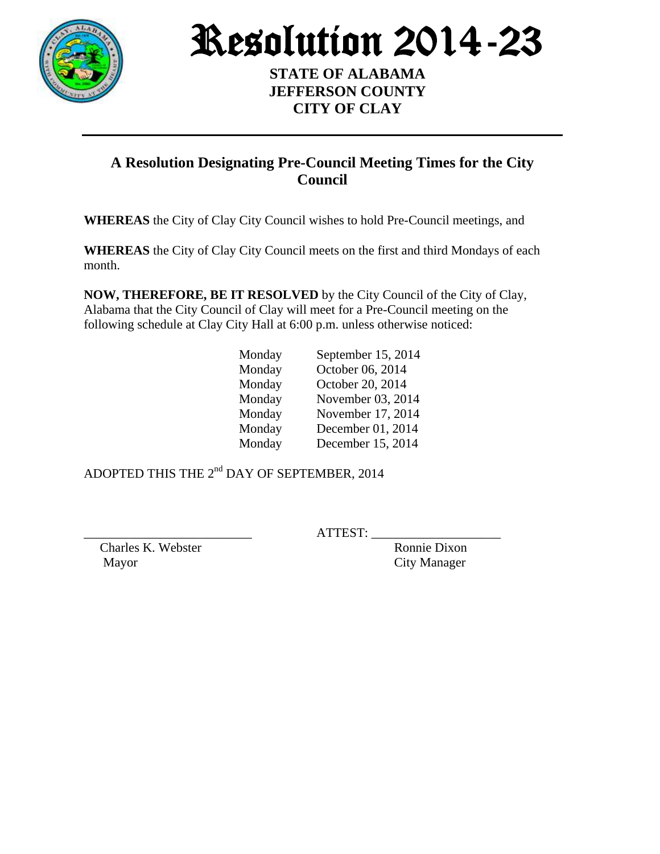

Resolution 2014-23

**STATE OF ALABAMA JEFFERSON COUNTY CITY OF CLAY**

## **A Resolution Designating Pre-Council Meeting Times for the City Council**

**WHEREAS** the City of Clay City Council wishes to hold Pre-Council meetings, and

**WHEREAS** the City of Clay City Council meets on the first and third Mondays of each month.

**NOW, THEREFORE, BE IT RESOLVED** by the City Council of the City of Clay, Alabama that the City Council of Clay will meet for a Pre-Council meeting on the following schedule at Clay City Hall at 6:00 p.m. unless otherwise noticed:

| Monday | September 15, 2014 |
|--------|--------------------|
| Monday | October 06, 2014   |
| Monday | October 20, 2014   |
| Monday | November 03, 2014  |
| Monday | November 17, 2014  |
| Monday | December 01, 2014  |
| Monday | December 15, 2014  |

ADOPTED THIS THE  $2<sup>nd</sup>$  DAY OF SEPTEMBER, 2014

Charles K. Webster Ronnie Dixon

ATTEST:

Mayor City Manager